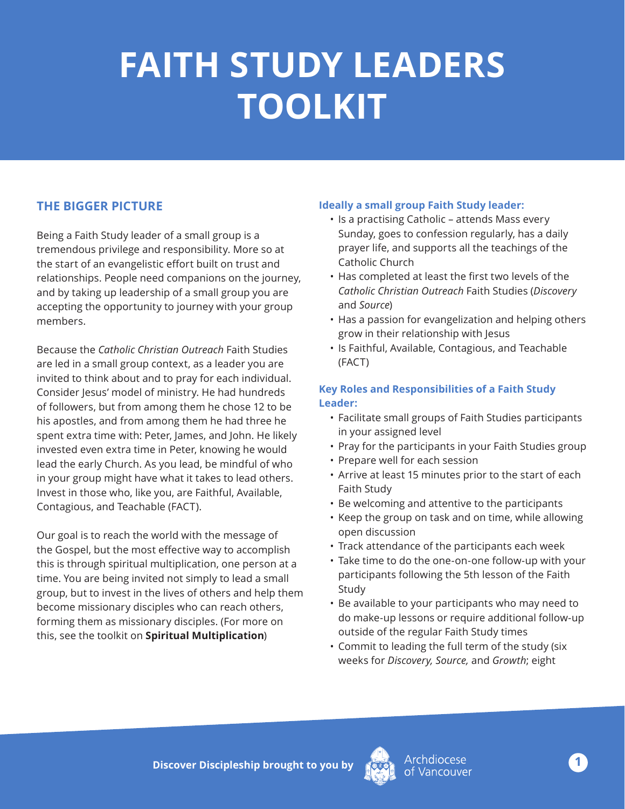# **FAITH STUDY LEADERS TOOLKIT**

### **THE BIGGER PICTURE**

Being a Faith Study leader of a small group is a tremendous privilege and responsibility. More so at the start of an evangelistic effort built on trust and relationships. People need companions on the journey, and by taking up leadership of a small group you are accepting the opportunity to journey with your group members.

Because the *Catholic Christian Outreach* Faith Studies are led in a small group context, as a leader you are invited to think about and to pray for each individual. Consider Jesus' model of ministry. He had hundreds of followers, but from among them he chose 12 to be his apostles, and from among them he had three he spent extra time with: Peter, James, and John. He likely invested even extra time in Peter, knowing he would lead the early Church. As you lead, be mindful of who in your group might have what it takes to lead others. Invest in those who, like you, are Faithful, Available, Contagious, and Teachable (FACT).

Our goal is to reach the world with the message of the Gospel, but the most effective way to accomplish this is through spiritual multiplication, one person at a time. You are being invited not simply to lead a small group, but to invest in the lives of others and help them become missionary disciples who can reach others, forming them as missionary disciples. (For more on this, see the toolkit on **Spiritual Multiplication**)

#### **Ideally a small group Faith Study leader:**

- Is a practising Catholic attends Mass every Sunday, goes to confession regularly, has a daily prayer life, and supports all the teachings of the Catholic Church
- Has completed at least the first two levels of the *Catholic Christian Outreach* Faith Studies (*Discovery*  and *Source*)
- Has a passion for evangelization and helping others grow in their relationship with Jesus
- Is Faithful, Available, Contagious, and Teachable (FACT)

#### **Key Roles and Responsibilities of a Faith Study Leader:**

- Facilitate small groups of Faith Studies participants in your assigned level
- Pray for the participants in your Faith Studies group
- Prepare well for each session
- Arrive at least 15 minutes prior to the start of each Faith Study
- Be welcoming and attentive to the participants
- Keep the group on task and on time, while allowing open discussion
- Track attendance of the participants each week
- Take time to do the one-on-one follow-up with your participants following the 5th lesson of the Faith Study
- Be available to your participants who may need to do make-up lessons or require additional follow-up outside of the regular Faith Study times
- Commit to leading the full term of the study (six weeks for *Discovery, Source,* and *Growth*; eight

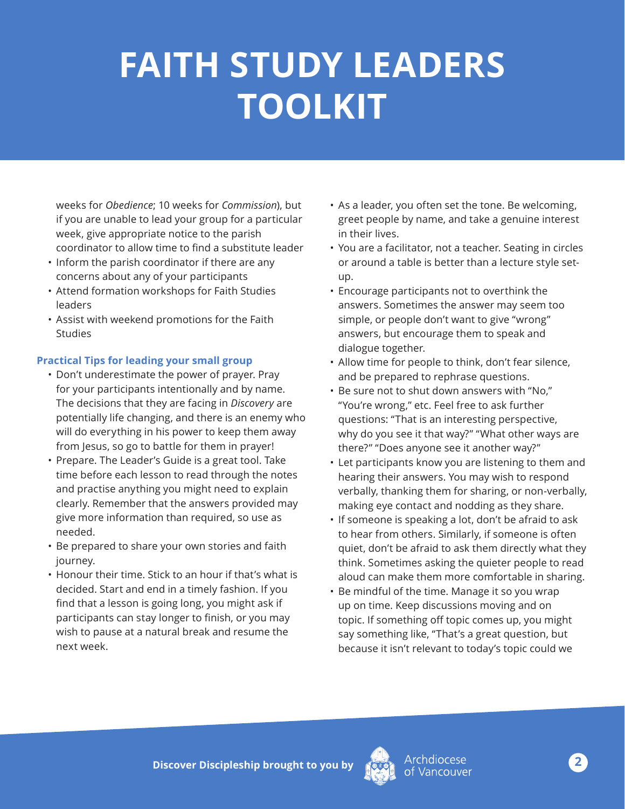# **FAITH STUDY LEADERS TOOLKIT**

weeks for *Obedience*; 10 weeks for *Commission*), but if you are unable to lead your group for a particular week, give appropriate notice to the parish coordinator to allow time to find a substitute leader

- Inform the parish coordinator if there are any concerns about any of your participants
- Attend formation workshops for Faith Studies leaders
- Assist with weekend promotions for the Faith Studies

### **Practical Tips for leading your small group**

- Don't underestimate the power of prayer. Pray for your participants intentionally and by name. The decisions that they are facing in *Discovery* are potentially life changing, and there is an enemy who will do everything in his power to keep them away from Jesus, so go to battle for them in prayer!
- Prepare. The Leader's Guide is a great tool. Take time before each lesson to read through the notes and practise anything you might need to explain clearly. Remember that the answers provided may give more information than required, so use as needed.
- Be prepared to share your own stories and faith journey.
- Honour their time. Stick to an hour if that's what is decided. Start and end in a timely fashion. If you find that a lesson is going long, you might ask if participants can stay longer to finish, or you may wish to pause at a natural break and resume the next week.
- As a leader, you often set the tone. Be welcoming, greet people by name, and take a genuine interest in their lives.
- You are a facilitator, not a teacher. Seating in circles or around a table is better than a lecture style setup.
- Encourage participants not to overthink the answers. Sometimes the answer may seem too simple, or people don't want to give "wrong" answers, but encourage them to speak and dialogue together.
- Allow time for people to think, don't fear silence, and be prepared to rephrase questions.
- Be sure not to shut down answers with "No," "You're wrong," etc. Feel free to ask further questions: "That is an interesting perspective, why do you see it that way?" "What other ways are there?" "Does anyone see it another way?"
- Let participants know you are listening to them and hearing their answers. You may wish to respond verbally, thanking them for sharing, or non-verbally, making eye contact and nodding as they share.
- If someone is speaking a lot, don't be afraid to ask to hear from others. Similarly, if someone is often quiet, don't be afraid to ask them directly what they think. Sometimes asking the quieter people to read aloud can make them more comfortable in sharing.
- Be mindful of the time. Manage it so you wrap up on time. Keep discussions moving and on topic. If something off topic comes up, you might say something like, "That's a great question, but because it isn't relevant to today's topic could we